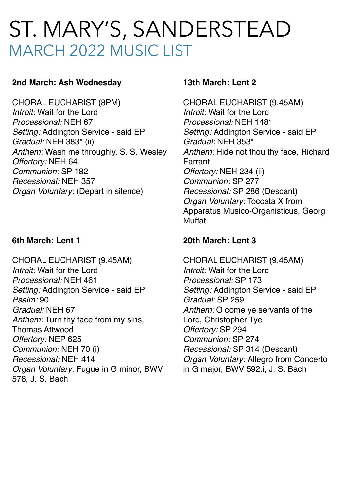# ST. MARY'S, SANDERSTEAD MARCH 2022 MUSIC LIST

## **2nd March: Ash Wednesday**

CHORAL EUCHARIST (8PM) *Introit:* Wait for the Lord *Processional:* NEH 67 *Setting:* Addington Service - said EP *Gradual:* NEH 383\* (ii) *Anthem:* Wash me throughly, S. S. Wesley *Offertory:* NEH 64 *Communion:* SP 182 *Recessional:* NEH 357 *Organ Voluntary:* (Depart in silence)

#### **6th March: Lent 1**

CHORAL EUCHARIST (9.45AM) *Introit:* Wait for the Lord *Processional:* NEH 461 *Setting:* Addington Service - said EP *Psalm:* 90 *Gradual:* NEH 67 *Anthem:* Turn thy face from my sins, Thomas Attwood *Offertory:* NEP 625 *Communion:* NEH 70 (i) *Recessional:* NEH 414 *Organ Voluntary:* Fugue in G minor, BWV 578, J. S. Bach

#### **13th March: Lent 2**

CHORAL EUCHARIST (9.45AM) *Introit:* Wait for the Lord *Processional:* NEH 148\* *Setting:* Addington Service - said EP *Gradual:* NEH 353\* *Anthem:* Hide not thou thy face, Richard Farrant *Offertory:* NEH 234 (ii) *Communion:* SP 277 *Recessional:* SP 286 (Descant) *Organ Voluntary:* Toccata X from Apparatus Musico-Organisticus, Georg Muffat

## **20th March: Lent 3**

CHORAL EUCHARIST (9.45AM) *Introit:* Wait for the Lord *Processional:* SP 173 *Setting:* Addington Service - said EP *Gradual:* SP 259 *Anthem:* O come ye servants of the Lord, Christopher Tye *Offertory:* SP 294 *Communion:* SP 274 *Recessional:* SP 314 (Descant) *Organ Voluntary:* Allegro from Concerto in G major, BWV 592.i, J. S. Bach